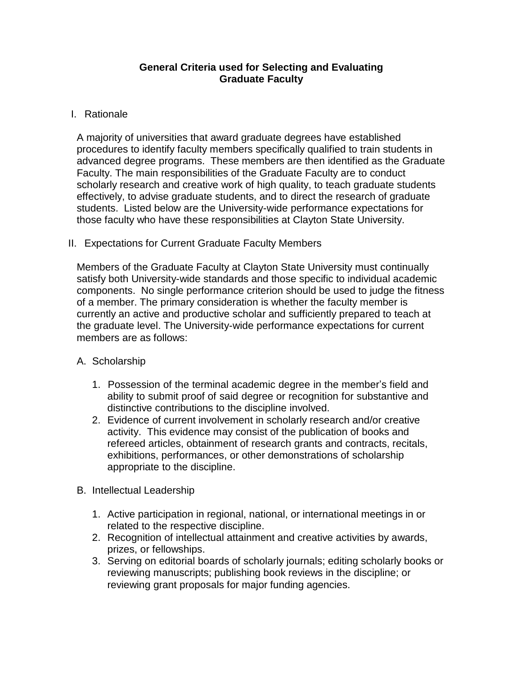## **General Criteria used for Selecting and Evaluating Graduate Faculty**

# I. Rationale

A majority of universities that award graduate degrees have established procedures to identify faculty members specifically qualified to train students in advanced degree programs. These members are then identified as the Graduate Faculty. The main responsibilities of the Graduate Faculty are to conduct scholarly research and creative work of high quality, to teach graduate students effectively, to advise graduate students, and to direct the research of graduate students. Listed below are the University-wide performance expectations for those faculty who have these responsibilities at Clayton State University.

# II. Expectations for Current Graduate Faculty Members

Members of the Graduate Faculty at Clayton State University must continually satisfy both University-wide standards and those specific to individual academic components. No single performance criterion should be used to judge the fitness of a member. The primary consideration is whether the faculty member is currently an active and productive scholar and sufficiently prepared to teach at the graduate level. The University-wide performance expectations for current members are as follows:

## A. Scholarship

- 1. Possession of the terminal academic degree in the member's field and ability to submit proof of said degree or recognition for substantive and distinctive contributions to the discipline involved.
- 2. Evidence of current involvement in scholarly research and/or creative activity. This evidence may consist of the publication of books and refereed articles, obtainment of research grants and contracts, recitals, exhibitions, performances, or other demonstrations of scholarship appropriate to the discipline.
- B. Intellectual Leadership
	- 1. Active participation in regional, national, or international meetings in or related to the respective discipline.
	- 2. Recognition of intellectual attainment and creative activities by awards, prizes, or fellowships.
	- 3. Serving on editorial boards of scholarly journals; editing scholarly books or reviewing manuscripts; publishing book reviews in the discipline; or reviewing grant proposals for major funding agencies.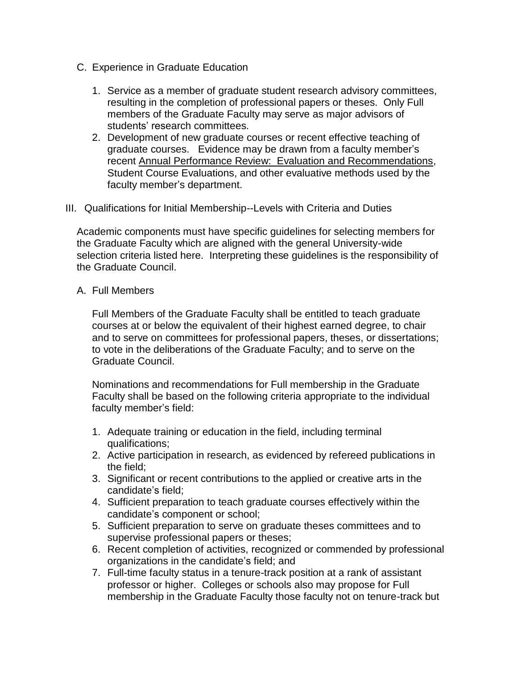- C. Experience in Graduate Education
	- 1. Service as a member of graduate student research advisory committees, resulting in the completion of professional papers or theses. Only Full members of the Graduate Faculty may serve as major advisors of students' research committees.
	- 2. Development of new graduate courses or recent effective teaching of graduate courses. Evidence may be drawn from a faculty member's recent Annual Performance Review: Evaluation and Recommendations, Student Course Evaluations, and other evaluative methods used by the faculty member's department.
- III. Qualifications for Initial Membership--Levels with Criteria and Duties

Academic components must have specific guidelines for selecting members for the Graduate Faculty which are aligned with the general University-wide selection criteria listed here. Interpreting these guidelines is the responsibility of the Graduate Council.

#### A. Full Members

Full Members of the Graduate Faculty shall be entitled to teach graduate courses at or below the equivalent of their highest earned degree, to chair and to serve on committees for professional papers, theses, or dissertations; to vote in the deliberations of the Graduate Faculty; and to serve on the Graduate Council.

Nominations and recommendations for Full membership in the Graduate Faculty shall be based on the following criteria appropriate to the individual faculty member's field:

- 1. Adequate training or education in the field, including terminal qualifications;
- 2. Active participation in research, as evidenced by refereed publications in the field;
- 3. Significant or recent contributions to the applied or creative arts in the candidate's field;
- 4. Sufficient preparation to teach graduate courses effectively within the candidate's component or school;
- 5. Sufficient preparation to serve on graduate theses committees and to supervise professional papers or theses;
- 6. Recent completion of activities, recognized or commended by professional organizations in the candidate's field; and
- 7. Full-time faculty status in a tenure-track position at a rank of assistant professor or higher. Colleges or schools also may propose for Full membership in the Graduate Faculty those faculty not on tenure-track but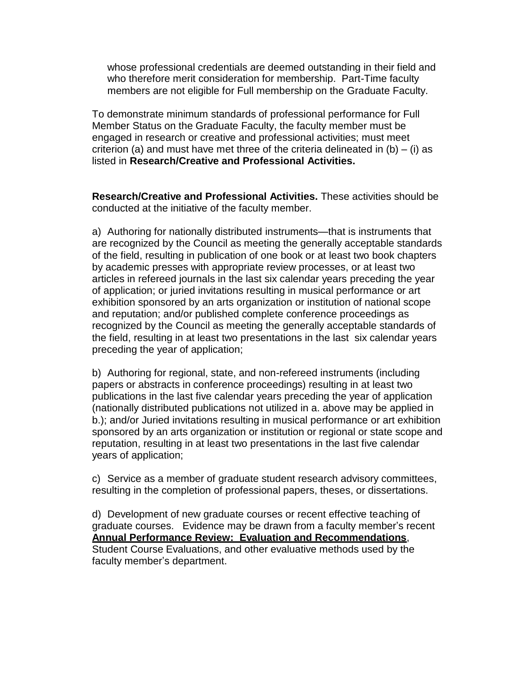whose professional credentials are deemed outstanding in their field and who therefore merit consideration for membership. Part-Time faculty members are not eligible for Full membership on the Graduate Faculty.

To demonstrate minimum standards of professional performance for Full Member Status on the Graduate Faculty, the faculty member must be engaged in research or creative and professional activities; must meet criterion (a) and must have met three of the criteria delineated in (b) – (i) as listed in **Research/Creative and Professional Activities.**

**Research/Creative and Professional Activities.** These activities should be conducted at the initiative of the faculty member.

a) Authoring for nationally distributed instruments—that is instruments that are recognized by the Council as meeting the generally acceptable standards of the field, resulting in publication of one book or at least two book chapters by academic presses with appropriate review processes, or at least two articles in refereed journals in the last six calendar years preceding the year of application; or juried invitations resulting in musical performance or art exhibition sponsored by an arts organization or institution of national scope and reputation; and/or published complete conference proceedings as recognized by the Council as meeting the generally acceptable standards of the field, resulting in at least two presentations in the last six calendar years preceding the year of application;

b) Authoring for regional, state, and non-refereed instruments (including papers or abstracts in conference proceedings) resulting in at least two publications in the last five calendar years preceding the year of application (nationally distributed publications not utilized in a. above may be applied in b.); and/or Juried invitations resulting in musical performance or art exhibition sponsored by an arts organization or institution or regional or state scope and reputation, resulting in at least two presentations in the last five calendar years of application;

c) Service as a member of graduate student research advisory committees, resulting in the completion of professional papers, theses, or dissertations.

d) Development of new graduate courses or recent effective teaching of graduate courses. Evidence may be drawn from a faculty member's recent **Annual Performance Review: Evaluation and Recommendations**, Student Course Evaluations, and other evaluative methods used by the faculty member's department.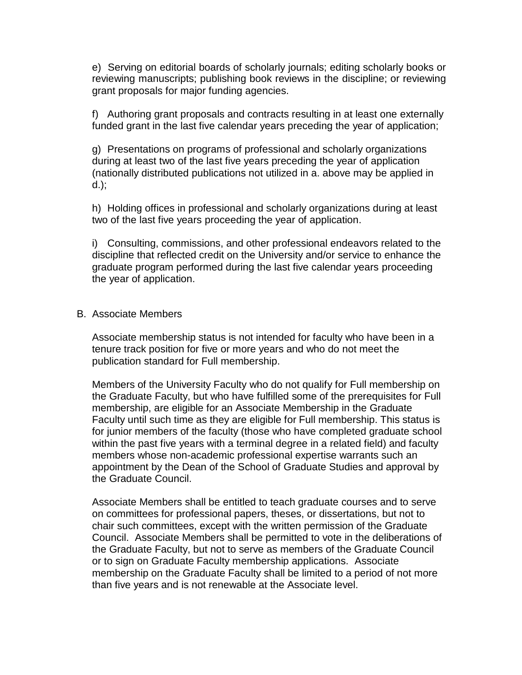e) Serving on editorial boards of scholarly journals; editing scholarly books or reviewing manuscripts; publishing book reviews in the discipline; or reviewing grant proposals for major funding agencies.

f) Authoring grant proposals and contracts resulting in at least one externally funded grant in the last five calendar years preceding the year of application;

g) Presentations on programs of professional and scholarly organizations during at least two of the last five years preceding the year of application (nationally distributed publications not utilized in a. above may be applied in d.);

h) Holding offices in professional and scholarly organizations during at least two of the last five years proceeding the year of application.

i) Consulting, commissions, and other professional endeavors related to the discipline that reflected credit on the University and/or service to enhance the graduate program performed during the last five calendar years proceeding the year of application.

## B. Associate Members

Associate membership status is not intended for faculty who have been in a tenure track position for five or more years and who do not meet the publication standard for Full membership.

Members of the University Faculty who do not qualify for Full membership on the Graduate Faculty, but who have fulfilled some of the prerequisites for Full membership, are eligible for an Associate Membership in the Graduate Faculty until such time as they are eligible for Full membership. This status is for junior members of the faculty (those who have completed graduate school within the past five years with a terminal degree in a related field) and faculty members whose non-academic professional expertise warrants such an appointment by the Dean of the School of Graduate Studies and approval by the Graduate Council.

Associate Members shall be entitled to teach graduate courses and to serve on committees for professional papers, theses, or dissertations, but not to chair such committees, except with the written permission of the Graduate Council. Associate Members shall be permitted to vote in the deliberations of the Graduate Faculty, but not to serve as members of the Graduate Council or to sign on Graduate Faculty membership applications. Associate membership on the Graduate Faculty shall be limited to a period of not more than five years and is not renewable at the Associate level.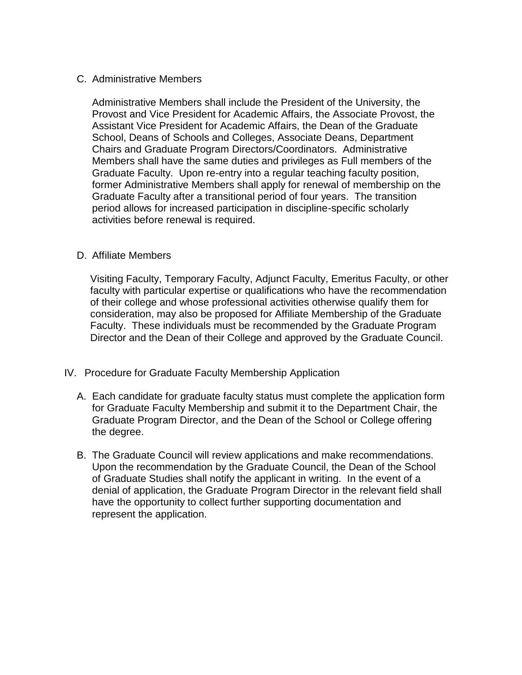#### C. Administrative Members

Administrative Members shall include the President of the University, the Provost and Vice President for Academic Affairs, the Associate Provost, the Assistant Vice President for Academic Affairs, the Dean of the Graduate School, Deans of Schools and Colleges, Associate Deans, Department Chairs and Graduate Program Directors/Coordinators. Administrative Members shall have the same duties and privileges as Full members of the Graduate Faculty. Upon re-entry into a regular teaching faculty position, former Administrative Members shall apply for renewal of membership on the Graduate Faculty after a transitional period of four years. The transition period allows for increased participation in discipline-specific scholarly activities before renewal is required.

#### D. Affiliate Members

Visiting Faculty, Temporary Faculty, Adjunct Faculty, Emeritus Faculty, or other faculty with particular expertise or qualifications who have the recommendation of their college and whose professional activities otherwise qualify them for consideration, may also be proposed for Affiliate Membership of the Graduate Faculty. These individuals must be recommended by the Graduate Program Director and the Dean of their College and approved by the Graduate Council.

- IV. Procedure for Graduate Faculty Membership Application
	- A. Each candidate for graduate faculty status must complete the application form for Graduate Faculty Membership and submit it to the Department Chair, the Graduate Program Director, and the Dean of the School or College offering the degree.
	- B. The Graduate Council will review applications and make recommendations. Upon the recommendation by the Graduate Council, the Dean of the School of Graduate Studies shall notify the applicant in writing. In the event of a denial of application, the Graduate Program Director in the relevant field shall have the opportunity to collect further supporting documentation and represent the application.